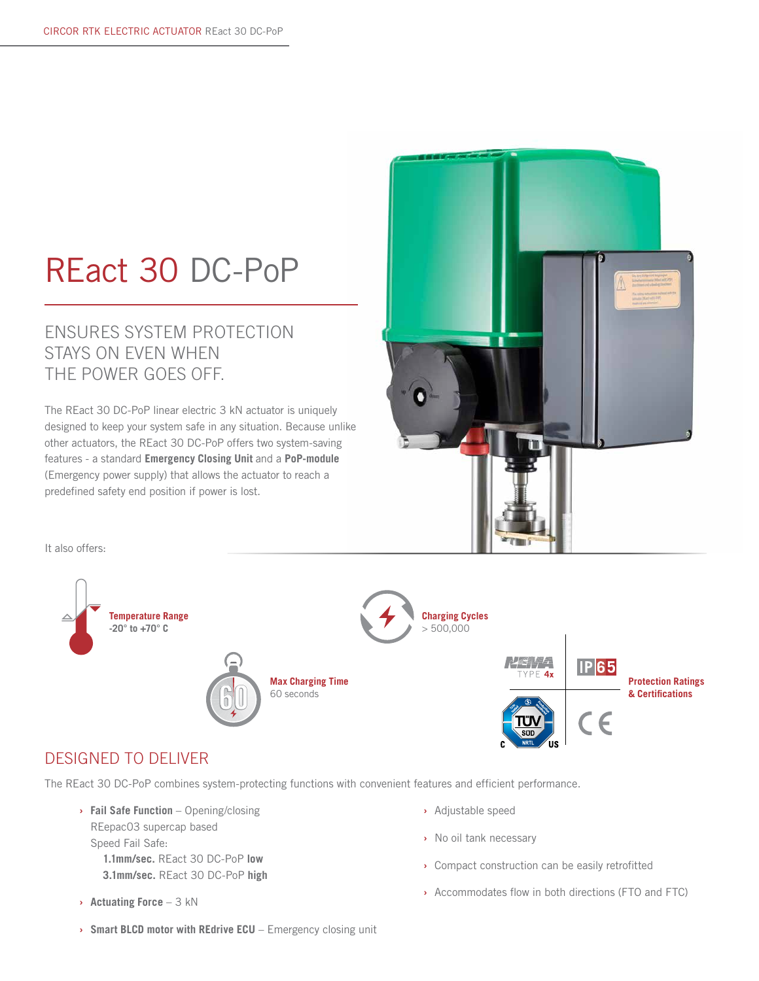# REact 30 DC-PoP

### ENSURES SYSTEM PROTECTION STAYS ON EVEN WHEN THE POWER GOES OFF.

The REact 30 DC-PoP linear electric 3 kN actuator is uniquely designed to keep your system safe in any situation. Because unlike other actuators, the REact 30 DC-PoP offers two system-saving features - a standard **Emergency Closing Unit** and a **PoP-module** (Emergency power supply) that allows the actuator to reach a predefined safety end position if power is lost.



It also offers:



#### DESIGNED TO DELIVER

The REact 30 DC-PoP combines system-protecting functions with convenient features and efficient performance.

- **› Fail Safe Function** Opening/closing REepac03 supercap based Speed Fail Safe: **1.1mm/sec.** REact 30 DC-PoP **low**
	- **3.1mm/sec.** REact 30 DC-PoP **high**
- **› Actuating Force** 3 kN
- **›** Adjustable speed
- **›** No oil tank necessary
- **›** Compact construction can be easily retrofitted
- **›** Accommodates flow in both directions (FTO and FTC)
- **› Smart BLCD motor with REdrive ECU** Emergency closing unit